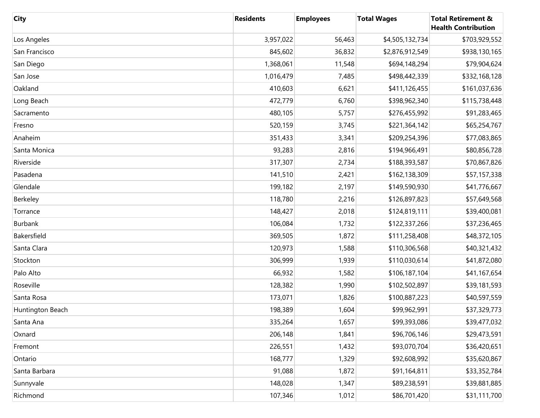| <b>City</b>      | <b>Residents</b> | <b>Employees</b> | <b>Total Wages</b> | <b>Total Retirement &amp;</b><br><b>Health Contribution</b> |
|------------------|------------------|------------------|--------------------|-------------------------------------------------------------|
| Los Angeles      | 3,957,022        | 56,463           | \$4,505,132,734    | \$703,929,552                                               |
| San Francisco    | 845,602          | 36,832           | \$2,876,912,549    | \$938,130,165                                               |
| San Diego        | 1,368,061        | 11,548           | \$694,148,294      | \$79,904,624                                                |
| San Jose         | 1,016,479        | 7,485            | \$498,442,339      | \$332,168,128                                               |
| Oakland          | 410,603          | 6,621            | \$411,126,455      | \$161,037,636                                               |
| Long Beach       | 472,779          | 6,760            | \$398,962,340      | \$115,738,448                                               |
| Sacramento       | 480,105          | 5,757            | \$276,455,992      | \$91,283,465                                                |
| Fresno           | 520,159          | 3,745            | \$221,364,142      | \$65,254,767                                                |
| Anaheim          | 351,433          | 3,341            | \$209,254,396      | \$77,083,865                                                |
| Santa Monica     | 93,283           | 2,816            | \$194,966,491      | \$80,856,728                                                |
| Riverside        | 317,307          | 2,734            | \$188,393,587      | \$70,867,826                                                |
| Pasadena         | 141,510          | 2,421            | \$162,138,309      | \$57,157,338                                                |
| Glendale         | 199,182          | 2,197            | \$149,590,930      | \$41,776,667                                                |
| Berkeley         | 118,780          | 2,216            | \$126,897,823      | \$57,649,568                                                |
| Torrance         | 148,427          | 2,018            | \$124,819,111      | \$39,400,081                                                |
| Burbank          | 106,084          | 1,732            | \$122,337,266      | \$37,236,465                                                |
| Bakersfield      | 369,505          | 1,872            | \$111,258,408      | \$48,372,105                                                |
| Santa Clara      | 120,973          | 1,588            | \$110,306,568      | \$40,321,432                                                |
| Stockton         | 306,999          | 1,939            | \$110,030,614      | \$41,872,080                                                |
| Palo Alto        | 66,932           | 1,582            | \$106,187,104      | \$41,167,654                                                |
| Roseville        | 128,382          | 1,990            | \$102,502,897      | \$39,181,593                                                |
| Santa Rosa       | 173,071          | 1,826            | \$100,887,223      | \$40,597,559                                                |
| Huntington Beach | 198,389          | 1,604            | \$99,962,991       | \$37,329,773                                                |
| Santa Ana        | 335,264          | 1,657            | \$99,393,086       | \$39,477,032                                                |
| Oxnard           | 206,148          | 1,841            | \$96,706,146       | \$29,473,591                                                |
| Fremont          | 226,551          | 1,432            | \$93,070,704       | \$36,420,651                                                |
| Ontario          | 168,777          | 1,329            | \$92,608,992       | \$35,620,867                                                |
| Santa Barbara    | 91,088           | 1,872            | \$91,164,811       | \$33,352,784                                                |
| Sunnyvale        | 148,028          | 1,347            | \$89,238,591       | \$39,881,885                                                |
| Richmond         | 107,346          | 1,012            | \$86,701,420       | \$31,111,700                                                |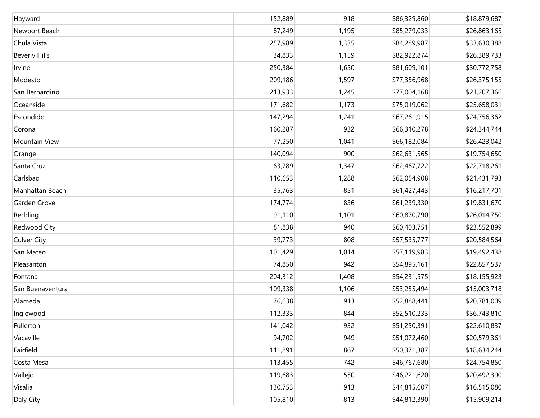| Hayward              | 152,889 | 918   | \$86,329,860 | \$18,879,687 |
|----------------------|---------|-------|--------------|--------------|
| Newport Beach        | 87,249  | 1,195 | \$85,279,033 | \$26,863,165 |
| Chula Vista          | 257,989 | 1,335 | \$84,289,987 | \$33,630,388 |
| <b>Beverly Hills</b> | 34,833  | 1,159 | \$82,922,874 | \$26,389,733 |
| Irvine               | 250,384 | 1,650 | \$81,609,101 | \$30,772,758 |
| Modesto              | 209,186 | 1,597 | \$77,356,968 | \$26,375,155 |
| San Bernardino       | 213,933 | 1,245 | \$77,004,168 | \$21,207,366 |
| Oceanside            | 171,682 | 1,173 | \$75,019,062 | \$25,658,031 |
| Escondido            | 147,294 | 1,241 | \$67,261,915 | \$24,756,362 |
| Corona               | 160,287 | 932   | \$66,310,278 | \$24,344,744 |
| Mountain View        | 77,250  | 1,041 | \$66,182,084 | \$26,423,042 |
| Orange               | 140,094 | 900   | \$62,631,565 | \$19,754,650 |
| Santa Cruz           | 63,789  | 1,347 | \$62,467,722 | \$22,718,261 |
| Carlsbad             | 110,653 | 1,288 | \$62,054,908 | \$21,431,793 |
| Manhattan Beach      | 35,763  | 851   | \$61,427,443 | \$16,217,701 |
| Garden Grove         | 174,774 | 836   | \$61,239,330 | \$19,831,670 |
| Redding              | 91,110  | 1,101 | \$60,870,790 | \$26,014,750 |
| Redwood City         | 81,838  | 940   | \$60,403,751 | \$23,552,899 |
| <b>Culver City</b>   | 39,773  | 808   | \$57,535,777 | \$20,584,564 |
| San Mateo            | 101,429 | 1,014 | \$57,119,983 | \$19,492,438 |
| Pleasanton           | 74,850  | 942   | \$54,895,161 | \$22,857,537 |
| Fontana              | 204,312 | 1,408 | \$54,231,575 | \$18,155,923 |
| San Buenaventura     | 109,338 | 1,106 | \$53,255,494 | \$15,003,718 |
| Alameda              | 76,638  | 913   | \$52,888,441 | \$20,781,009 |
| Inglewood            | 112,333 | 844   | \$52,510,233 | \$36,743,810 |
| Fullerton            | 141,042 | 932   | \$51,250,391 | \$22,610,837 |
| Vacaville            | 94,702  | 949   | \$51,072,460 | \$20,579,361 |
| Fairfield            | 111,891 | 867   | \$50,371,387 | \$18,634,244 |
| Costa Mesa           | 113,455 | 742   | \$46,767,680 | \$24,754,850 |
| Vallejo              | 119,683 | 550   | \$46,221,620 | \$20,492,390 |
| Visalia              | 130,753 | 913   | \$44,815,607 | \$16,515,080 |
| Daly City            | 105,810 | 813   | \$44,812,390 | \$15,909,214 |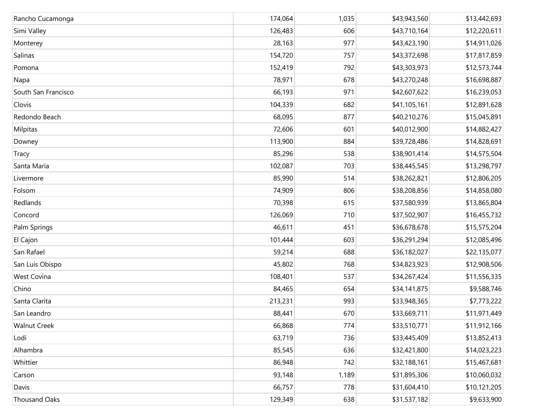| Rancho Cucamonga     | 174,064 | 1,035 | \$43,943,560 | \$13,442,693 |
|----------------------|---------|-------|--------------|--------------|
| Simi Valley          | 126,483 | 606   | \$43,710,164 | \$12,220,611 |
| Monterey             | 28,163  | 977   | \$43,423,190 | \$14,911,026 |
| Salinas              | 154,720 | 757   | \$43,372,698 | \$17,817,859 |
| Pomona               | 152,419 | 792   | \$43,303,973 | \$12,573,744 |
| Napa                 | 78,971  | 678   | \$43,270,248 | \$16,698,887 |
| South San Francisco  | 66,193  | 971   | \$42,607,622 | \$16,239,053 |
| Clovis               | 104,339 | 682   | \$41,105,161 | \$12,891,628 |
| Redondo Beach        | 68,095  | 877   | \$40,210,276 | \$15,045,891 |
| Milpitas             | 72,606  | 601   | \$40,012,900 | \$14,882,427 |
| Downey               | 113,900 | 884   | \$39,728,486 | \$14,828,691 |
| Tracy                | 85,296  | 538   | \$38,901,414 | \$14,575,504 |
| Santa Maria          | 102,087 | 703   | \$38,445,545 | \$13,298,797 |
| Livermore            | 85,990  | 514   | \$38,262,821 | \$12,806,205 |
| Folsom               | 74,909  | 806   | \$38,208,856 | \$14,858,080 |
| Redlands             | 70,398  | 615   | \$37,580,939 | \$13,865,804 |
| Concord              | 126,069 | 710   | \$37,502,907 | \$16,455,732 |
| Palm Springs         | 46,611  | 451   | \$36,678,678 | \$15,575,204 |
| El Cajon             | 101,444 | 603   | \$36,291,294 | \$12,085,496 |
| San Rafael           | 59,214  | 688   | \$36,182,027 | \$22,135,077 |
| San Luis Obispo      | 45,802  | 768   | \$34,823,923 | \$12,908,506 |
| West Covina          | 108,401 | 537   | \$34,267,424 | \$11,556,335 |
| Chino                | 84,465  | 654   | \$34,141,875 | \$9,588,746  |
| Santa Clarita        | 213,231 | 993   | \$33,948,365 | \$7,773,222  |
| San Leandro          | 88,441  | 670   | \$33,669,711 | \$11,971,449 |
| <b>Walnut Creek</b>  | 66,868  | 774   | \$33,510,771 | \$11,912,166 |
| Lodi                 | 63,719  | 736   | \$33,445,409 | \$13,852,413 |
| Alhambra             | 85,545  | 636   | \$32,421,800 | \$14,023,223 |
| Whittier             | 86,948  | 742   | \$32,188,161 | \$15,467,681 |
| Carson               | 93,148  | 1,189 | \$31,895,306 | \$10,060,032 |
| Davis                | 66,757  | 778   | \$31,604,410 | \$10,121,205 |
| <b>Thousand Oaks</b> | 129,349 | 638   | \$31,537,182 | \$9,633,900  |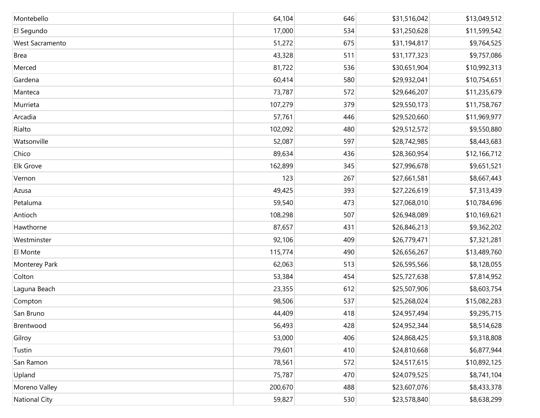| Montebello           | 64,104  | 646 | \$31,516,042 | \$13,049,512 |
|----------------------|---------|-----|--------------|--------------|
| El Segundo           | 17,000  | 534 | \$31,250,628 | \$11,599,542 |
| West Sacramento      | 51,272  | 675 | \$31,194,817 | \$9,764,525  |
| <b>Brea</b>          | 43,328  | 511 | \$31,177,323 | \$9,757,086  |
| Merced               | 81,722  | 536 | \$30,651,904 | \$10,992,313 |
| Gardena              | 60,414  | 580 | \$29,932,041 | \$10,754,651 |
| Manteca              | 73,787  | 572 | \$29,646,207 | \$11,235,679 |
| Murrieta             | 107,279 | 379 | \$29,550,173 | \$11,758,767 |
| Arcadia              | 57,761  | 446 | \$29,520,660 | \$11,969,977 |
| Rialto               | 102,092 | 480 | \$29,512,572 | \$9,550,880  |
| Watsonville          | 52,087  | 597 | \$28,742,985 | \$8,443,683  |
| Chico                | 89,634  | 436 | \$28,360,954 | \$12,166,712 |
| Elk Grove            | 162,899 | 345 | \$27,996,678 | \$9,651,521  |
| Vernon               | 123     | 267 | \$27,661,581 | \$8,667,443  |
| Azusa                | 49,425  | 393 | \$27,226,619 | \$7,313,439  |
| Petaluma             | 59,540  | 473 | \$27,068,010 | \$10,784,696 |
| Antioch              | 108,298 | 507 | \$26,948,089 | \$10,169,621 |
| Hawthorne            | 87,657  | 431 | \$26,846,213 | \$9,362,202  |
| Westminster          | 92,106  | 409 | \$26,779,471 | \$7,321,281  |
| El Monte             | 115,774 | 490 | \$26,656,267 | \$13,489,760 |
| Monterey Park        | 62,063  | 513 | \$26,595,566 | \$8,128,055  |
| Colton               | 53,384  | 454 | \$25,727,638 | \$7,814,952  |
| Laguna Beach         | 23,355  | 612 | \$25,507,906 | \$8,603,754  |
| Compton              | 98,506  | 537 | \$25,268,024 | \$15,082,283 |
| San Bruno            | 44,409  | 418 | \$24,957,494 | \$9,295,715  |
| Brentwood            | 56,493  | 428 | \$24,952,344 | \$8,514,628  |
| Gilroy               | 53,000  | 406 | \$24,868,425 | \$9,318,808  |
| Tustin               | 79,601  | 410 | \$24,810,668 | \$6,877,944  |
| San Ramon            | 78,561  | 572 | \$24,517,615 | \$10,892,125 |
| Upland               | 75,787  | 470 | \$24,079,525 | \$8,741,104  |
| Moreno Valley        | 200,670 | 488 | \$23,607,076 | \$8,433,378  |
| <b>National City</b> | 59,827  | 530 | \$23,578,840 | \$8,638,299  |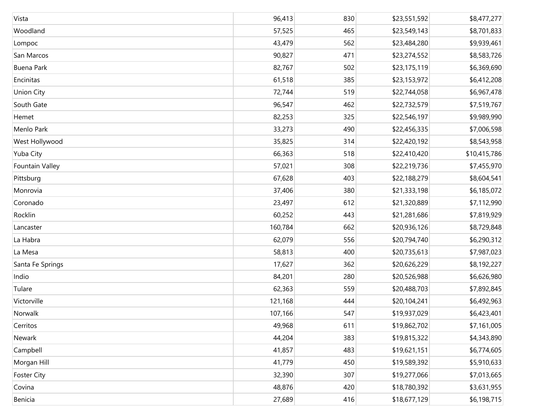| Vista              | 96,413  | 830 | \$23,551,592 | \$8,477,277  |
|--------------------|---------|-----|--------------|--------------|
| Woodland           | 57,525  | 465 | \$23,549,143 | \$8,701,833  |
| Lompoc             | 43,479  | 562 | \$23,484,280 | \$9,939,461  |
| San Marcos         | 90,827  | 471 | \$23,274,552 | \$8,583,726  |
| Buena Park         | 82,767  | 502 | \$23,175,119 | \$6,369,690  |
| Encinitas          | 61,518  | 385 | \$23,153,972 | \$6,412,208  |
| <b>Union City</b>  | 72,744  | 519 | \$22,744,058 | \$6,967,478  |
| South Gate         | 96,547  | 462 | \$22,732,579 | \$7,519,767  |
| Hemet              | 82,253  | 325 | \$22,546,197 | \$9,989,990  |
| Menlo Park         | 33,273  | 490 | \$22,456,335 | \$7,006,598  |
| West Hollywood     | 35,825  | 314 | \$22,420,192 | \$8,543,958  |
| Yuba City          | 66,363  | 518 | \$22,410,420 | \$10,415,786 |
| Fountain Valley    | 57,021  | 308 | \$22,219,736 | \$7,455,970  |
| Pittsburg          | 67,628  | 403 | \$22,188,279 | \$8,604,541  |
| Monrovia           | 37,406  | 380 | \$21,333,198 | \$6,185,072  |
| Coronado           | 23,497  | 612 | \$21,320,889 | \$7,112,990  |
| Rocklin            | 60,252  | 443 | \$21,281,686 | \$7,819,929  |
| Lancaster          | 160,784 | 662 | \$20,936,126 | \$8,729,848  |
| La Habra           | 62,079  | 556 | \$20,794,740 | \$6,290,312  |
| La Mesa            | 58,813  | 400 | \$20,735,613 | \$7,987,023  |
| Santa Fe Springs   | 17,627  | 362 | \$20,626,229 | \$8,192,227  |
| Indio              | 84,201  | 280 | \$20,526,988 | \$6,626,980  |
| Tulare             | 62,363  | 559 | \$20,488,703 | \$7,892,845  |
| Victorville        | 121,168 | 444 | \$20,104,241 | \$6,492,963  |
| Norwalk            | 107,166 | 547 | \$19,937,029 | \$6,423,401  |
| Cerritos           | 49,968  | 611 | \$19,862,702 | \$7,161,005  |
| Newark             | 44,204  | 383 | \$19,815,322 | \$4,343,890  |
| Campbell           | 41,857  | 483 | \$19,621,151 | \$6,774,605  |
| Morgan Hill        | 41,779  | 450 | \$19,589,392 | \$5,910,633  |
| <b>Foster City</b> | 32,390  | 307 | \$19,277,066 | \$7,013,665  |
| Covina             | 48,876  | 420 | \$18,780,392 | \$3,631,955  |
| Benicia            | 27,689  | 416 | \$18,677,129 | \$6,198,715  |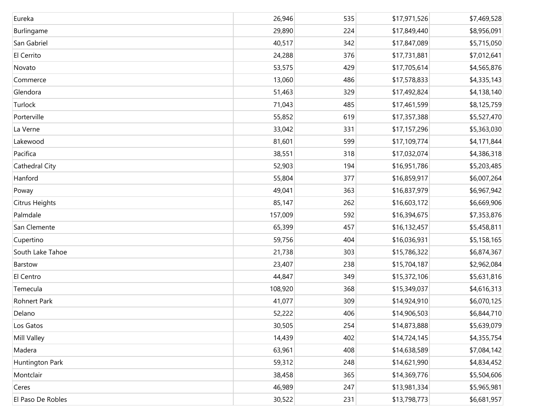| Eureka            | 26,946  | 535 | \$17,971,526 | \$7,469,528 |
|-------------------|---------|-----|--------------|-------------|
| Burlingame        | 29,890  | 224 | \$17,849,440 | \$8,956,091 |
| San Gabriel       | 40,517  | 342 | \$17,847,089 | \$5,715,050 |
| El Cerrito        | 24,288  | 376 | \$17,731,881 | \$7,012,641 |
| Novato            | 53,575  | 429 | \$17,705,614 | \$4,565,876 |
| Commerce          | 13,060  | 486 | \$17,578,833 | \$4,335,143 |
| Glendora          | 51,463  | 329 | \$17,492,824 | \$4,138,140 |
| Turlock           | 71,043  | 485 | \$17,461,599 | \$8,125,759 |
| Porterville       | 55,852  | 619 | \$17,357,388 | \$5,527,470 |
| La Verne          | 33,042  | 331 | \$17,157,296 | \$5,363,030 |
| Lakewood          | 81,601  | 599 | \$17,109,774 | \$4,171,844 |
| Pacifica          | 38,551  | 318 | \$17,032,074 | \$4,386,318 |
| Cathedral City    | 52,903  | 194 | \$16,951,786 | \$5,203,485 |
| Hanford           | 55,804  | 377 | \$16,859,917 | \$6,007,264 |
| Poway             | 49,041  | 363 | \$16,837,979 | \$6,967,942 |
| Citrus Heights    | 85,147  | 262 | \$16,603,172 | \$6,669,906 |
| Palmdale          | 157,009 | 592 | \$16,394,675 | \$7,353,876 |
| San Clemente      | 65,399  | 457 | \$16,132,457 | \$5,458,811 |
| Cupertino         | 59,756  | 404 | \$16,036,931 | \$5,158,165 |
| South Lake Tahoe  | 21,738  | 303 | \$15,786,322 | \$6,874,367 |
| Barstow           | 23,407  | 238 | \$15,704,187 | \$2,962,084 |
| El Centro         | 44,847  | 349 | \$15,372,106 | \$5,631,816 |
| Temecula          | 108,920 | 368 | \$15,349,037 | \$4,616,313 |
| Rohnert Park      | 41,077  | 309 | \$14,924,910 | \$6,070,125 |
| Delano            | 52,222  | 406 | \$14,906,503 | \$6,844,710 |
| Los Gatos         | 30,505  | 254 | \$14,873,888 | \$5,639,079 |
| Mill Valley       | 14,439  | 402 | \$14,724,145 | \$4,355,754 |
| Madera            | 63,961  | 408 | \$14,638,589 | \$7,084,142 |
| Huntington Park   | 59,312  | 248 | \$14,621,990 | \$4,834,452 |
| Montclair         | 38,458  | 365 | \$14,369,776 | \$5,504,606 |
| Ceres             | 46,989  | 247 | \$13,981,334 | \$5,965,981 |
| El Paso De Robles | 30,522  | 231 | \$13,798,773 | \$6,681,957 |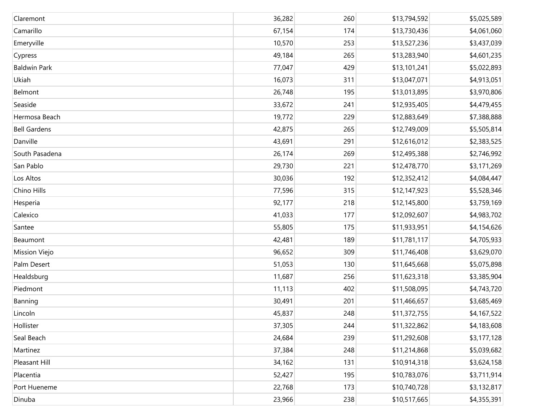| Claremont           | 36,282 | 260 | \$13,794,592 | \$5,025,589 |
|---------------------|--------|-----|--------------|-------------|
| Camarillo           | 67,154 | 174 | \$13,730,436 | \$4,061,060 |
| Emeryville          | 10,570 | 253 | \$13,527,236 | \$3,437,039 |
| Cypress             | 49,184 | 265 | \$13,283,940 | \$4,601,235 |
| <b>Baldwin Park</b> | 77,047 | 429 | \$13,101,241 | \$5,022,893 |
| Ukiah               | 16,073 | 311 | \$13,047,071 | \$4,913,051 |
| Belmont             | 26,748 | 195 | \$13,013,895 | \$3,970,806 |
| Seaside             | 33,672 | 241 | \$12,935,405 | \$4,479,455 |
| Hermosa Beach       | 19,772 | 229 | \$12,883,649 | \$7,388,888 |
| <b>Bell Gardens</b> | 42,875 | 265 | \$12,749,009 | \$5,505,814 |
| Danville            | 43,691 | 291 | \$12,616,012 | \$2,383,525 |
| South Pasadena      | 26,174 | 269 | \$12,495,388 | \$2,746,992 |
| San Pablo           | 29,730 | 221 | \$12,478,770 | \$3,171,269 |
| Los Altos           | 30,036 | 192 | \$12,352,412 | \$4,084,447 |
| Chino Hills         | 77,596 | 315 | \$12,147,923 | \$5,528,346 |
| Hesperia            | 92,177 | 218 | \$12,145,800 | \$3,759,169 |
| Calexico            | 41,033 | 177 | \$12,092,607 | \$4,983,702 |
| Santee              | 55,805 | 175 | \$11,933,951 | \$4,154,626 |
| Beaumont            | 42,481 | 189 | \$11,781,117 | \$4,705,933 |
| Mission Viejo       | 96,652 | 309 | \$11,746,408 | \$3,629,070 |
| Palm Desert         | 51,053 | 130 | \$11,645,668 | \$5,075,898 |
| Healdsburg          | 11,687 | 256 | \$11,623,318 | \$3,385,904 |
| Piedmont            | 11,113 | 402 | \$11,508,095 | \$4,743,720 |
| Banning             | 30,491 | 201 | \$11,466,657 | \$3,685,469 |
| Lincoln             | 45,837 | 248 | \$11,372,755 | \$4,167,522 |
| Hollister           | 37,305 | 244 | \$11,322,862 | \$4,183,608 |
| Seal Beach          | 24,684 | 239 | \$11,292,608 | \$3,177,128 |
| Martinez            | 37,384 | 248 | \$11,214,868 | \$5,039,682 |
| Pleasant Hill       | 34,162 | 131 | \$10,914,318 | \$3,624,158 |
| Placentia           | 52,427 | 195 | \$10,783,076 | \$3,711,914 |
| Port Hueneme        | 22,768 | 173 | \$10,740,728 | \$3,132,817 |
| Dinuba              | 23,966 | 238 | \$10,517,665 | \$4,355,391 |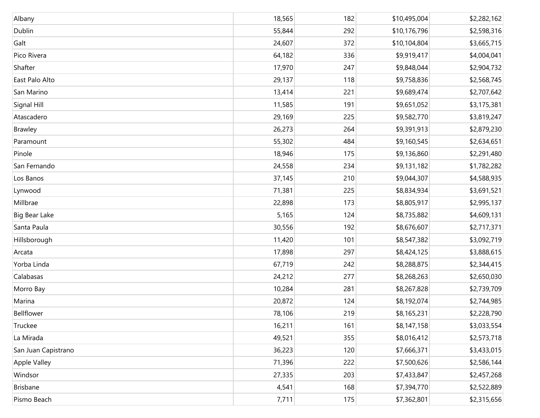| Albany              | 18,565 | 182 | \$10,495,004 | \$2,282,162 |
|---------------------|--------|-----|--------------|-------------|
| Dublin              | 55,844 | 292 | \$10,176,796 | \$2,598,316 |
| Galt                | 24,607 | 372 | \$10,104,804 | \$3,665,715 |
| Pico Rivera         | 64,182 | 336 | \$9,919,417  | \$4,004,041 |
| Shafter             | 17,970 | 247 | \$9,848,044  | \$2,904,732 |
| East Palo Alto      | 29,137 | 118 | \$9,758,836  | \$2,568,745 |
| San Marino          | 13,414 | 221 | \$9,689,474  | \$2,707,642 |
| Signal Hill         | 11,585 | 191 | \$9,651,052  | \$3,175,381 |
| Atascadero          | 29,169 | 225 | \$9,582,770  | \$3,819,247 |
| <b>Brawley</b>      | 26,273 | 264 | \$9,391,913  | \$2,879,230 |
| Paramount           | 55,302 | 484 | \$9,160,545  | \$2,634,651 |
| Pinole              | 18,946 | 175 | \$9,136,860  | \$2,291,480 |
| San Fernando        | 24,558 | 234 | \$9,131,182  | \$1,782,282 |
| Los Banos           | 37,145 | 210 | \$9,044,307  | \$4,588,935 |
| Lynwood             | 71,381 | 225 | \$8,834,934  | \$3,691,521 |
| Millbrae            | 22,898 | 173 | \$8,805,917  | \$2,995,137 |
| Big Bear Lake       | 5,165  | 124 | \$8,735,882  | \$4,609,131 |
| Santa Paula         | 30,556 | 192 | \$8,676,607  | \$2,717,371 |
| Hillsborough        | 11,420 | 101 | \$8,547,382  | \$3,092,719 |
| Arcata              | 17,898 | 297 | \$8,424,125  | \$3,888,615 |
| Yorba Linda         | 67,719 | 242 | \$8,288,875  | \$2,344,415 |
| Calabasas           | 24,212 | 277 | \$8,268,263  | \$2,650,030 |
| Morro Bay           | 10,284 | 281 | \$8,267,828  | \$2,739,709 |
| Marina              | 20,872 | 124 | \$8,192,074  | \$2,744,985 |
| Bellflower          | 78,106 | 219 | \$8,165,231  | \$2,228,790 |
| Truckee             | 16,211 | 161 | \$8,147,158  | \$3,033,554 |
| La Mirada           | 49,521 | 355 | \$8,016,412  | \$2,573,718 |
| San Juan Capistrano | 36,223 | 120 | \$7,666,371  | \$3,433,015 |
| Apple Valley        | 71,396 | 222 | \$7,500,626  | \$2,586,144 |
| Windsor             | 27,335 | 203 | \$7,433,847  | \$2,457,268 |
| Brisbane            | 4,541  | 168 | \$7,394,770  | \$2,522,889 |
| Pismo Beach         | 7,711  | 175 | \$7,362,801  | \$2,315,656 |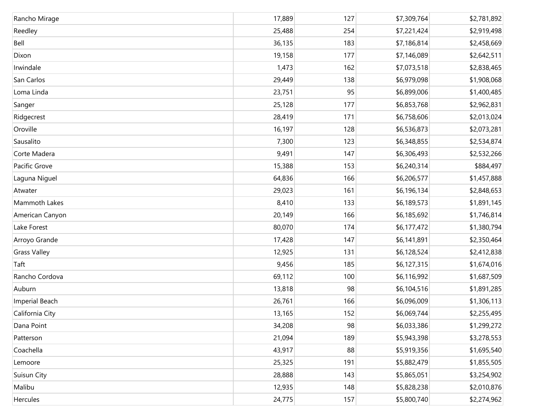| Rancho Mirage       | 17,889 | 127 | \$7,309,764 | \$2,781,892 |
|---------------------|--------|-----|-------------|-------------|
| Reedley             | 25,488 | 254 | \$7,221,424 | \$2,919,498 |
| Bell                | 36,135 | 183 | \$7,186,814 | \$2,458,669 |
| Dixon               | 19,158 | 177 | \$7,146,089 | \$2,642,511 |
| Irwindale           | 1,473  | 162 | \$7,073,518 | \$2,838,465 |
| San Carlos          | 29,449 | 138 | \$6,979,098 | \$1,908,068 |
| Loma Linda          | 23,751 | 95  | \$6,899,006 | \$1,400,485 |
| Sanger              | 25,128 | 177 | \$6,853,768 | \$2,962,831 |
| Ridgecrest          | 28,419 | 171 | \$6,758,606 | \$2,013,024 |
| Oroville            | 16,197 | 128 | \$6,536,873 | \$2,073,281 |
| Sausalito           | 7,300  | 123 | \$6,348,855 | \$2,534,874 |
| Corte Madera        | 9,491  | 147 | \$6,306,493 | \$2,532,266 |
| Pacific Grove       | 15,388 | 153 | \$6,240,314 | \$884,497   |
| Laguna Niguel       | 64,836 | 166 | \$6,206,577 | \$1,457,888 |
| Atwater             | 29,023 | 161 | \$6,196,134 | \$2,848,653 |
| Mammoth Lakes       | 8,410  | 133 | \$6,189,573 | \$1,891,145 |
| American Canyon     | 20,149 | 166 | \$6,185,692 | \$1,746,814 |
| Lake Forest         | 80,070 | 174 | \$6,177,472 | \$1,380,794 |
| Arroyo Grande       | 17,428 | 147 | \$6,141,891 | \$2,350,464 |
| <b>Grass Valley</b> | 12,925 | 131 | \$6,128,524 | \$2,412,838 |
| Taft                | 9,456  | 185 | \$6,127,315 | \$1,674,016 |
| Rancho Cordova      | 69,112 | 100 | \$6,116,992 | \$1,687,509 |
| Auburn              | 13,818 | 98  | \$6,104,516 | \$1,891,285 |
| Imperial Beach      | 26,761 | 166 | \$6,096,009 | \$1,306,113 |
| California City     | 13,165 | 152 | \$6,069,744 | \$2,255,495 |
| Dana Point          | 34,208 | 98  | \$6,033,386 | \$1,299,272 |
| Patterson           | 21,094 | 189 | \$5,943,398 | \$3,278,553 |
| Coachella           | 43,917 | 88  | \$5,919,356 | \$1,695,540 |
| Lemoore             | 25,325 | 191 | \$5,882,479 | \$1,855,505 |
| Suisun City         | 28,888 | 143 | \$5,865,051 | \$3,254,902 |
| Malibu              | 12,935 | 148 | \$5,828,238 | \$2,010,876 |
| Hercules            | 24,775 | 157 | \$5,800,740 | \$2,274,962 |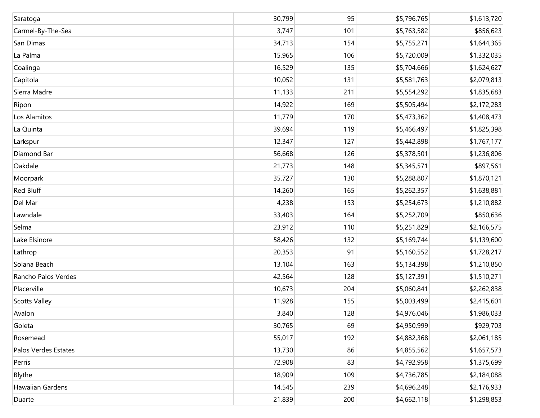| Saratoga             | 30,799 | 95  | \$5,796,765 | \$1,613,720 |
|----------------------|--------|-----|-------------|-------------|
| Carmel-By-The-Sea    | 3,747  | 101 | \$5,763,582 | \$856,623   |
| San Dimas            | 34,713 | 154 | \$5,755,271 | \$1,644,365 |
| La Palma             | 15,965 | 106 | \$5,720,009 | \$1,332,035 |
| Coalinga             | 16,529 | 135 | \$5,704,666 | \$1,624,627 |
| Capitola             | 10,052 | 131 | \$5,581,763 | \$2,079,813 |
| Sierra Madre         | 11,133 | 211 | \$5,554,292 | \$1,835,683 |
| Ripon                | 14,922 | 169 | \$5,505,494 | \$2,172,283 |
| Los Alamitos         | 11,779 | 170 | \$5,473,362 | \$1,408,473 |
| La Quinta            | 39,694 | 119 | \$5,466,497 | \$1,825,398 |
| Larkspur             | 12,347 | 127 | \$5,442,898 | \$1,767,177 |
| Diamond Bar          | 56,668 | 126 | \$5,378,501 | \$1,236,806 |
| Oakdale              | 21,773 | 148 | \$5,345,571 | \$897,561   |
| Moorpark             | 35,727 | 130 | \$5,288,807 | \$1,870,121 |
| Red Bluff            | 14,260 | 165 | \$5,262,357 | \$1,638,881 |
| Del Mar              | 4,238  | 153 | \$5,254,673 | \$1,210,882 |
| Lawndale             | 33,403 | 164 | \$5,252,709 | \$850,636   |
| Selma                | 23,912 | 110 | \$5,251,829 | \$2,166,575 |
| Lake Elsinore        | 58,426 | 132 | \$5,169,744 | \$1,139,600 |
| Lathrop              | 20,353 | 91  | \$5,160,552 | \$1,728,217 |
| Solana Beach         | 13,104 | 163 | \$5,134,398 | \$1,210,850 |
| Rancho Palos Verdes  | 42,564 | 128 | \$5,127,391 | \$1,510,271 |
| Placerville          | 10,673 | 204 | \$5,060,841 | \$2,262,838 |
| <b>Scotts Valley</b> | 11,928 | 155 | \$5,003,499 | \$2,415,601 |
| Avalon               | 3,840  | 128 | \$4,976,046 | \$1,986,033 |
| Goleta               | 30,765 | 69  | \$4,950,999 | \$929,703   |
| Rosemead             | 55,017 | 192 | \$4,882,368 | \$2,061,185 |
| Palos Verdes Estates | 13,730 | 86  | \$4,855,562 | \$1,657,573 |
| Perris               | 72,908 | 83  | \$4,792,958 | \$1,375,699 |
| Blythe               | 18,909 | 109 | \$4,736,785 | \$2,184,088 |
| Hawaiian Gardens     | 14,545 | 239 | \$4,696,248 | \$2,176,933 |
| Duarte               | 21,839 | 200 | \$4,662,118 | \$1,298,853 |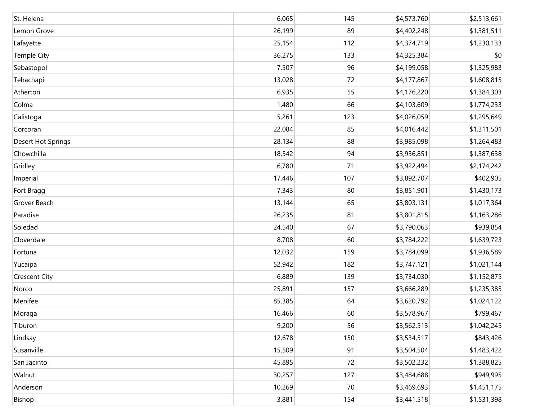| St. Helena           | 6,065  | 145 | \$4,573,760 | \$2,513,661 |
|----------------------|--------|-----|-------------|-------------|
| Lemon Grove          | 26,199 | 89  | \$4,402,248 | \$1,381,511 |
| Lafayette            | 25,154 | 112 | \$4,374,719 | \$1,230,133 |
| Temple City          | 36,275 | 133 | \$4,325,384 | \$0         |
| Sebastopol           | 7,507  | 96  | \$4,199,058 | \$1,325,983 |
| Tehachapi            | 13,028 | 72  | \$4,177,867 | \$1,608,815 |
| Atherton             | 6,935  | 55  | \$4,176,220 | \$1,384,303 |
| Colma                | 1,480  | 66  | \$4,103,609 | \$1,774,233 |
| Calistoga            | 5,261  | 123 | \$4,026,059 | \$1,295,649 |
| Corcoran             | 22,084 | 85  | \$4,016,442 | \$1,311,501 |
| Desert Hot Springs   | 28,134 | 88  | \$3,985,098 | \$1,264,483 |
| Chowchilla           | 18,542 | 94  | \$3,936,851 | \$1,387,638 |
| Gridley              | 6,780  | 71  | \$3,922,494 | \$2,174,242 |
| Imperial             | 17,446 | 107 | \$3,892,707 | \$402,905   |
| Fort Bragg           | 7,343  | 80  | \$3,851,901 | \$1,430,173 |
| Grover Beach         | 13,144 | 65  | \$3,803,131 | \$1,017,364 |
| Paradise             | 26,235 | 81  | \$3,801,815 | \$1,163,286 |
| Soledad              | 24,540 | 67  | \$3,790,063 | \$939,854   |
| Cloverdale           | 8,708  | 60  | \$3,784,222 | \$1,639,723 |
| Fortuna              | 12,032 | 159 | \$3,784,099 | \$1,936,589 |
| Yucaipa              | 52,942 | 182 | \$3,747,121 | \$1,021,144 |
| <b>Crescent City</b> | 6,889  | 139 | \$3,734,030 | \$1,152,875 |
| Norco                | 25,891 | 157 | \$3,666,289 | \$1,235,385 |
| Menifee              | 85,385 | 64  | \$3,620,792 | \$1,024,122 |
| Moraga               | 16,466 | 60  | \$3,578,967 | \$799,467   |
| Tiburon              | 9,200  | 56  | \$3,562,513 | \$1,042,245 |
| Lindsay              | 12,678 | 150 | \$3,534,517 | \$843,426   |
| Susanville           | 15,509 | 91  | \$3,504,504 | \$1,483,422 |
| San Jacinto          | 45,895 | 72  | \$3,502,232 | \$1,388,825 |
| Walnut               | 30,257 | 127 | \$3,484,688 | \$949,995   |
| Anderson             | 10,269 | 70  | \$3,469,693 | \$1,451,175 |
| Bishop               | 3,881  | 154 | \$3,441,518 | \$1,531,398 |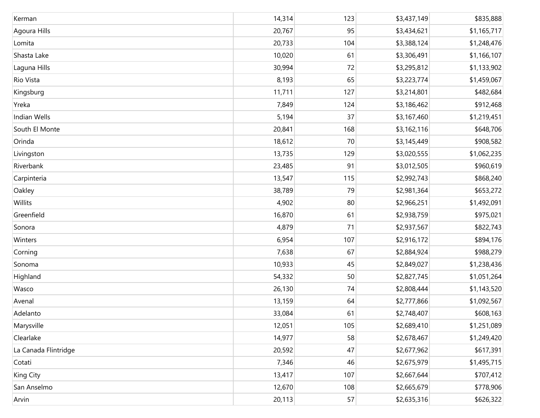| Kerman               | 14,314 | 123 | \$3,437,149 | \$835,888   |
|----------------------|--------|-----|-------------|-------------|
| Agoura Hills         | 20,767 | 95  | \$3,434,621 | \$1,165,717 |
| Lomita               | 20,733 | 104 | \$3,388,124 | \$1,248,476 |
| Shasta Lake          | 10,020 | 61  | \$3,306,491 | \$1,166,107 |
| Laguna Hills         | 30,994 | 72  | \$3,295,812 | \$1,133,902 |
| Rio Vista            | 8,193  | 65  | \$3,223,774 | \$1,459,067 |
| Kingsburg            | 11,711 | 127 | \$3,214,801 | \$482,684   |
| Yreka                | 7,849  | 124 | \$3,186,462 | \$912,468   |
| Indian Wells         | 5,194  | 37  | \$3,167,460 | \$1,219,451 |
| South El Monte       | 20,841 | 168 | \$3,162,116 | \$648,706   |
| Orinda               | 18,612 | 70  | \$3,145,449 | \$908,582   |
| Livingston           | 13,735 | 129 | \$3,020,555 | \$1,062,235 |
| Riverbank            | 23,485 | 91  | \$3,012,505 | \$960,619   |
| Carpinteria          | 13,547 | 115 | \$2,992,743 | \$868,240   |
| Oakley               | 38,789 | 79  | \$2,981,364 | \$653,272   |
| Willits              | 4,902  | 80  | \$2,966,251 | \$1,492,091 |
| Greenfield           | 16,870 | 61  | \$2,938,759 | \$975,021   |
| Sonora               | 4,879  | 71  | \$2,937,567 | \$822,743   |
| Winters              | 6,954  | 107 | \$2,916,172 | \$894,176   |
| Corning              | 7,638  | 67  | \$2,884,924 | \$988,279   |
| Sonoma               | 10,933 | 45  | \$2,849,027 | \$1,238,436 |
| Highland             | 54,332 | 50  | \$2,827,745 | \$1,051,264 |
| Wasco                | 26,130 | 74  | \$2,808,444 | \$1,143,520 |
| Avenal               | 13,159 | 64  | \$2,777,866 | \$1,092,567 |
| Adelanto             | 33,084 | 61  | \$2,748,407 | \$608,163   |
| Marysville           | 12,051 | 105 | \$2,689,410 | \$1,251,089 |
| Clearlake            | 14,977 | 58  | \$2,678,467 | \$1,249,420 |
| La Canada Flintridge | 20,592 | 47  | \$2,677,962 | \$617,391   |
| Cotati               | 7,346  | 46  | \$2,675,979 | \$1,495,715 |
| King City            | 13,417 | 107 | \$2,667,644 | \$707,412   |
| San Anselmo          | 12,670 | 108 | \$2,665,679 | \$778,906   |
| Arvin                | 20,113 | 57  | \$2,635,316 | \$626,322   |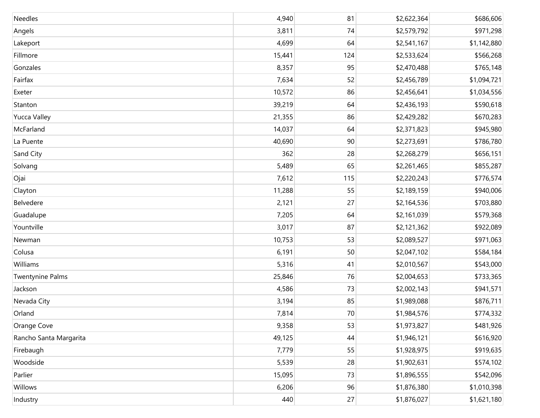| Needles                 | 4,940  | 81  | \$2,622,364 | \$686,606   |
|-------------------------|--------|-----|-------------|-------------|
| Angels                  | 3,811  | 74  | \$2,579,792 | \$971,298   |
| Lakeport                | 4,699  | 64  | \$2,541,167 | \$1,142,880 |
| Fillmore                | 15,441 | 124 | \$2,533,624 | \$566,268   |
| Gonzales                | 8,357  | 95  | \$2,470,488 | \$765,148   |
| Fairfax                 | 7,634  | 52  | \$2,456,789 | \$1,094,721 |
| Exeter                  | 10,572 | 86  | \$2,456,641 | \$1,034,556 |
| Stanton                 | 39,219 | 64  | \$2,436,193 | \$590,618   |
| <b>Yucca Valley</b>     | 21,355 | 86  | \$2,429,282 | \$670,283   |
| McFarland               | 14,037 | 64  | \$2,371,823 | \$945,980   |
| La Puente               | 40,690 | 90  | \$2,273,691 | \$786,780   |
| Sand City               | 362    | 28  | \$2,268,279 | \$656,151   |
| Solvang                 | 5,489  | 65  | \$2,261,465 | \$855,287   |
| Ojai                    | 7,612  | 115 | \$2,220,243 | \$776,574   |
| Clayton                 | 11,288 | 55  | \$2,189,159 | \$940,006   |
| Belvedere               | 2,121  | 27  | \$2,164,536 | \$703,880   |
| Guadalupe               | 7,205  | 64  | \$2,161,039 | \$579,368   |
| Yountville              | 3,017  | 87  | \$2,121,362 | \$922,089   |
| Newman                  | 10,753 | 53  | \$2,089,527 | \$971,063   |
| Colusa                  | 6,191  | 50  | \$2,047,102 | \$584,184   |
| Williams                | 5,316  | 41  | \$2,010,567 | \$543,000   |
| <b>Twentynine Palms</b> | 25,846 | 76  | \$2,004,653 | \$733,365   |
| Jackson                 | 4,586  | 73  | \$2,002,143 | \$941,571   |
| Nevada City             | 3,194  | 85  | \$1,989,088 | \$876,711   |
| Orland                  | 7,814  | 70  | \$1,984,576 | \$774,332   |
| Orange Cove             | 9,358  | 53  | \$1,973,827 | \$481,926   |
| Rancho Santa Margarita  | 49,125 | 44  | \$1,946,121 | \$616,920   |
| Firebaugh               | 7,779  | 55  | \$1,928,975 | \$919,635   |
| Woodside                | 5,539  | 28  | \$1,902,631 | \$574,102   |
| Parlier                 | 15,095 | 73  | \$1,896,555 | \$542,096   |
| Willows                 | 6,206  | 96  | \$1,876,380 | \$1,010,398 |
| Industry                | 440    | 27  | \$1,876,027 | \$1,621,180 |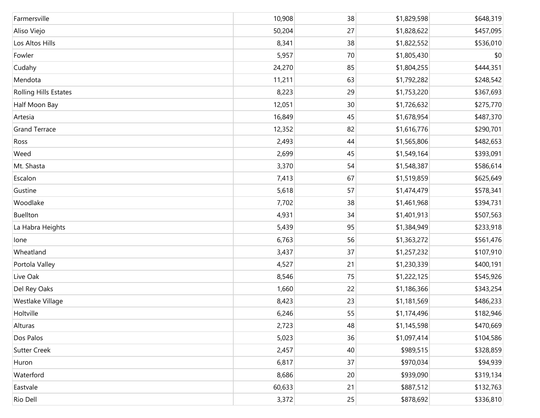| Farmersville                 | 10,908 | 38 | \$1,829,598 | \$648,319 |
|------------------------------|--------|----|-------------|-----------|
| Aliso Viejo                  | 50,204 | 27 | \$1,828,622 | \$457,095 |
| Los Altos Hills              | 8,341  | 38 | \$1,822,552 | \$536,010 |
| Fowler                       | 5,957  | 70 | \$1,805,430 | \$0       |
| Cudahy                       | 24,270 | 85 | \$1,804,255 | \$444,351 |
| Mendota                      | 11,211 | 63 | \$1,792,282 | \$248,542 |
| <b>Rolling Hills Estates</b> | 8,223  | 29 | \$1,753,220 | \$367,693 |
| Half Moon Bay                | 12,051 | 30 | \$1,726,632 | \$275,770 |
| Artesia                      | 16,849 | 45 | \$1,678,954 | \$487,370 |
| <b>Grand Terrace</b>         | 12,352 | 82 | \$1,616,776 | \$290,701 |
| Ross                         | 2,493  | 44 | \$1,565,806 | \$482,653 |
| Weed                         | 2,699  | 45 | \$1,549,164 | \$393,091 |
| Mt. Shasta                   | 3,370  | 54 | \$1,548,387 | \$586,614 |
| Escalon                      | 7,413  | 67 | \$1,519,859 | \$625,649 |
| Gustine                      | 5,618  | 57 | \$1,474,479 | \$578,341 |
| Woodlake                     | 7,702  | 38 | \$1,461,968 | \$394,731 |
| Buellton                     | 4,931  | 34 | \$1,401,913 | \$507,563 |
| La Habra Heights             | 5,439  | 95 | \$1,384,949 | \$233,918 |
| lone                         | 6,763  | 56 | \$1,363,272 | \$561,476 |
| Wheatland                    | 3,437  | 37 | \$1,257,232 | \$107,910 |
| Portola Valley               | 4,527  | 21 | \$1,230,339 | \$400,191 |
| Live Oak                     | 8,546  | 75 | \$1,222,125 | \$545,926 |
| Del Rey Oaks                 | 1,660  | 22 | \$1,186,366 | \$343,254 |
| Westlake Village             | 8,423  | 23 | \$1,181,569 | \$486,233 |
| Holtville                    | 6,246  | 55 | \$1,174,496 | \$182,946 |
| Alturas                      | 2,723  | 48 | \$1,145,598 | \$470,669 |
| Dos Palos                    | 5,023  | 36 | \$1,097,414 | \$104,586 |
| <b>Sutter Creek</b>          | 2,457  | 40 | \$989,515   | \$328,859 |
| Huron                        | 6,817  | 37 | \$970,034   | \$94,939  |
| Waterford                    | 8,686  | 20 | \$939,090   | \$319,134 |
| Eastvale                     | 60,633 | 21 | \$887,512   | \$132,763 |
| Rio Dell                     | 3,372  | 25 | \$878,692   | \$336,810 |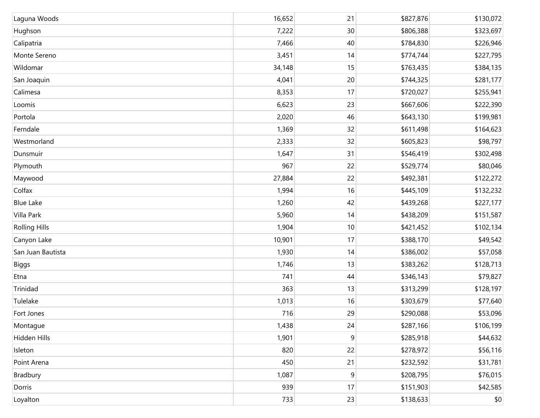| Laguna Woods         | 16,652 | 21 | \$827,876 | \$130,072 |
|----------------------|--------|----|-----------|-----------|
| Hughson              | 7,222  | 30 | \$806,388 | \$323,697 |
| Calipatria           | 7,466  | 40 | \$784,830 | \$226,946 |
| Monte Sereno         | 3,451  | 14 | \$774,744 | \$227,795 |
| Wildomar             | 34,148 | 15 | \$763,435 | \$384,135 |
| San Joaquin          | 4,041  | 20 | \$744,325 | \$281,177 |
| Calimesa             | 8,353  | 17 | \$720,027 | \$255,941 |
| Loomis               | 6,623  | 23 | \$667,606 | \$222,390 |
| Portola              | 2,020  | 46 | \$643,130 | \$199,981 |
| Ferndale             | 1,369  | 32 | \$611,498 | \$164,623 |
| Westmorland          | 2,333  | 32 | \$605,823 | \$98,797  |
| Dunsmuir             | 1,647  | 31 | \$546,419 | \$302,498 |
| Plymouth             | 967    | 22 | \$529,774 | \$80,046  |
| Maywood              | 27,884 | 22 | \$492,381 | \$122,272 |
| Colfax               | 1,994  | 16 | \$445,109 | \$132,232 |
| <b>Blue Lake</b>     | 1,260  | 42 | \$439,268 | \$227,177 |
| Villa Park           | 5,960  | 14 | \$438,209 | \$151,587 |
| <b>Rolling Hills</b> | 1,904  | 10 | \$421,452 | \$102,134 |
| Canyon Lake          | 10,901 | 17 | \$388,170 | \$49,542  |
| San Juan Bautista    | 1,930  | 14 | \$386,002 | \$57,058  |
| Biggs                | 1,746  | 13 | \$383,262 | \$128,713 |
| Etna                 | 741    | 44 | \$346,143 | \$79,827  |
| Trinidad             | 363    | 13 | \$313,299 | \$128,197 |
| Tulelake             | 1,013  | 16 | \$303,679 | \$77,640  |
| Fort Jones           | 716    | 29 | \$290,088 | \$53,096  |
| Montague             | 1,438  | 24 | \$287,166 | \$106,199 |
| Hidden Hills         | 1,901  | 9  | \$285,918 | \$44,632  |
| Isleton              | 820    | 22 | \$278,972 | \$56,116  |
| Point Arena          | 450    | 21 | \$232,592 | \$31,781  |
| Bradbury             | 1,087  | 9  | \$208,795 | \$76,015  |
| Dorris               | 939    | 17 | \$151,903 | \$42,585  |
| Loyalton             | 733    | 23 | \$138,633 | $$0$$     |